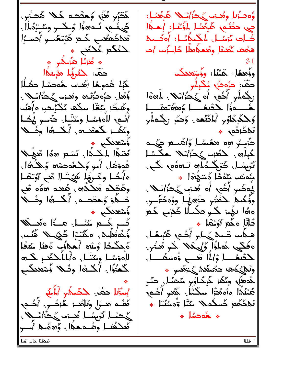كَتَبُرٖ مُنَّى وَحْدَده كَملاً هَدُّبِرٍ. كَهِنَّــم سَـــهُمْ أُمِّــكُــم وسُــْتِهُمْ . تَعْدَدَهَمْبِ كَــْمَ هُبْتُمْسِرِ ٱصْبَرَا لمُكُم مُلْكُب ﴾ \* مُد<sub>َ</sub>ئا هُ;َــدُمِ \* حقَّ: حَفُرُوْ الْمُعْمَدُ كَبُمْ هُومِهُا اهُدنت حُوصمُا حَقُلًا ؤُهُل. دَرْەدْزْلىھ وهُدنى ﴾حَزَّاتْبِلا . وهُىكَ; مِنْقْلَ مىڭكە كَتْبُرْىدە ەلَاھْك ٱنَّــٰهِ المونسُــٰا وِمَتْـٰلِ. حَنْـــو هُـُــٰا وْكُمْ: ݣُمْعْدِهِ. أَكْمُهُ! وِئْمِلًا ۆشەدگىي پ مُتَمَا الْكِـدَا. نُسْع 1هُ أُ تَعهُـلا فَهِوَهُا. أمرٍ وُلِمُهَجَدَهِ وُلِلَـٰهُا. ه/َخُـل وِحْـوَهْا هَيْشْال هَــ ٱوۡتَهْـا وَهُشْلُمْ مُلْلَمُلُهُ . هُمْدُ هُوَهُ مَحْلِ حُــٰكُمْ وَحَمْحَــٰـٰهِ. أَنْكُــٰهُا وِضُــٰلا أشعدكم \* کُے گُے میں ایک میڈا ہوگا وَّحْدَمُلُه. مَمَّتَبْلِ كَيْمِهِ كَسَّبِ. كَرِيْكُيْجًا وُءْتُه أَبْعَدُوْبَ كَافِيًا مُنْفَا للوفسا وللشار والملكف كع لْمُعْزَوَٰا. أَلَمْدَهُا وِشُلا وَسْعَدِكْب إِسْتَمْلَا حَقّ كَحُمْكُمْ إِلَمْكَمْ<br>كَشَّـه هــوْل وِتُلَكَـــ; هُوَكُـــرٍ. أَكْـــهِ . محمد انْصرح حنبه المشتركة المنصرح كَلاكْتُا وِهُـــْمَعْدَا. وُ50هُــدْ أُســر مَحْفُلُ حَرْء آانُا

وُهِ صَزَٰىٰلِ وِهُدْمَتِ ﴾ حَزَٰاتِكُمْ ۖ كَارِهُمْنَا ۚ : حيي حصُّفٍ هُرمُسُل اذْمُسُل: إهلاًا كْتَابْ خْتْشَانْ لْمْكْتَكْتَارْ: أَوْصُبْهَا هِمُهَا يَّعْبَدُا وَمُعَذَّهَا دَّاسَنُو اد وذُهِهَا: هَمُمُا: وَذَّبْتِهِدَكَ، حقَّ حَوْمَتُهِ يُحْبِلُهِ اهَماكَ ، محَدَّاتِكُمْ مَا مِكْمَانِ الْمَعَامِيَّةِ هُــــــهُوُا خَذَنفَــــا وُهةَ تَهْبَـــا وَكَكَبِكُاوُمِ ٱلْمُكْلُّمُهِ. وَحَبَّرِ رَكَّمَامُ |لَدْكُرْثُم \* حَبْبُ وهِ مَعْسُلٌ وُاصُّـمْ حَيْ؎ كَبِلْمِ . حَمَّدَتْ كَحَزَّاتْ مَكْسُلًا لَّهُمِمُا. كَتْرَجَّكُمُلُه لَـهِ٥٥ كَــ. أَمِثْمَعُتْ مِنْتَمْحًا وَمُتَذَٰوَّةً ﴾ لْمُحَمِّرِ أَهُمْ أَه هُدْبٍ كَحَزَّاسًلا . وَفَّمُكُمْ لِلْعُنُو حَزْوَيْهَا وَوُّەكْتُصِر. ەھْلىھە كىرىكىللا كېچ كى |گالْل مكْع آوْتْݣَال مْ هِكُم، شَمِيعٌ كَيَامٌ أَشْهِ، كَبْعَضًا. ەقىگىي ئەلمۇر ئۇلى ئىلارىگىز ئىشۇر. لِكْتُسُطِ وَٱلْمَلَا هُـــِ وُوَسَعُـــلَ. وَلَكِيَاءَهَا حَقَمَكُمْ ﴾ تَوَقَّعَةٌ ﴾ . لَّٰهُ هَيُّ وَكُمْ لَكُرِكَاوُ مِنْ مُعْمَلٍ حَكْرٍ كَتْتُكُلُّ هَأُهُمْتَوْا سَكْتُلْ. ݣْفُعِرِ ٱكْمِي تْدْكُمُو كُسِكُمْ مْ مْتْأَرْ وْمْشُلْلْ ﴾ A Lasan

فَلِلُهِ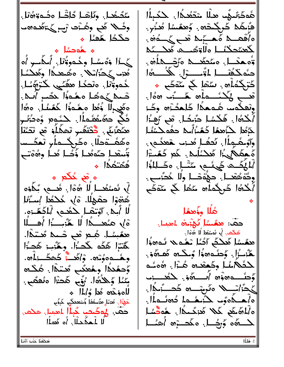مَّكُىعُداً. وِنَاهَـا كَاتْـا ەئـُـەۋەْلَا. وئىلا كُف وَهُــْزَف ْرَبِيرِ كَيْتَكُفّْدَهُ حكْحُل هُڪْل \* \* هُدَهْما \*<br>كَــاْ فَدُسُــا وخُـدووْنَا. إِنَّـكَـــر أَد هُذَا كَيْحُمُ ٱللهُ . ٥ هُمعكُمُ الْمُحَمَّدُ الْمُحَمَّدُ خُوووُلْل وتَعَكَّل مَفَّكَى كُتْرَوَّكُلْ. شَمِكُمْ مَعْدَوُّا حَصَّرِ أَبِكَ الْمَحْمَدِينَ مِنْ وَهْيِجِلًا وُهُدَا وَهُدَوُّا خَصَّدًا. وَهَا ثَكُمْ حَمَّضُفْعَلَاً. كَنُبُومْ وُودُتُس م*َن*ْعَبَٰنَّىٰ. گُثْنَفُسِ نَعكَلِهِ ۚ مَى نَتْمُنَا ەھَھْــةحَلَا. ەڭرېگــەلُر تىھگـــس تُسْعَط حَنَّهُمَا ذُكُلَّ هُمَا وَهُوْتَبِ هُمَّنْمُهُ ا \* ثُمَّ مُكُمْ \* ﴾ نُمنُعُــا إِلَا هُوْا . هُـــــم بُكُوْه هُوْوْا حَمْدِلًا. وْلِمْ هُكْمُعَا إِسْتُمُا لله ابلا. آوْتِهْا كِفُعِي الْمُكْوَّنِ. هْ) هنُعِـــدًا لَا هُنْبِـــزُا أُهـــلَا همُبسُل هُـم هُـ صْـم هُـتَـٰهَا. كَتَبَرًا هَكُم كُدُرًا. وِهَّنْبِ: هَدُرًا وِهْسوەوُدُه. وْأَهْلُ ۖ كَعِكْزْلُمْهِ. وَحِمُداً وِهُعِنَبٍ مُحتَدًا. هُكُم بِمَّمُا وَجَدُّهُا. رُؤْمٍ هُجَرَّا وَنُعَمَّمٍ. للعوِّدُه هُدا وُالْمَا \* لْكَهْزَارِ. هُوَمُلْإِ هَزَّمْتُهُمْاً وَمُعَجَّلَاتِ لَكَرْفَى حقّ فَهكُنف جُبلًا العبيل هكف.<br>الله عَمَّدلَّا فَ مُعلًا مَحْمُعًا حَبْء أَآتَا

هُوكُرْنَسِيٌ مِنْلَا مْتَصُدُا. حَدَّبِنَا قَبْتُهُمْ خُرِيْكُتُهُ . وُهِعُسُلْ هُذُرٍ. . هَهْسِي مَهْ يَسْتَمِيهِ هُوَ مُسْتَوَىٰدَ كعشحكنها وللتشميه محكيكه وْهِ هَـْـا و مِمْحَعْبِ هُمْ وَرْئِــْـهْلَاهِ . دَعْمَدْكُفْلِ الْمُؤْسِيِّرْلِ. ݣْكْـــْ دْهَا كَتْبِكْتُمْلُونَ. سَنْقَا لَكُنْ مَتْوَكِّبْ ﴾ هَبِ وَكَنْسُهِ أَنْ هَلْسُ: مَا أَنْ وتَعكُمتُ هُـمهُمُّا كَلِـمَكْـَرْهِ ۖ وِكْـز أَحْدُّا. فَحْسُا حَبْحًا. مْع رَْفِزًا لآمُعا لِأَمِعْا كَمُنْ أَلا حفُوكِسُلَا وَٱوۡـفَـٰٓءِڶَا ۚ. تَحفُـلِ مَحْـند ۖ حَمَحْـُـم ۖ. هُ هِكُلا إِنَّ الْمَلاَمُ أَمْرِ الْمُهْمَنْ الْمَرْسَلَ الْمَسْتَرَا اَمْلِكُ مِنْهُمْ مِنْهُمْ هَـْلْهُمْ وِدَّةَ هُمْداً. حَيْقَدْاً وَلَا خُدُّنِبٍ. أَحْدُهُ! كَمِجْمَلُه مَعْمًا لَكُمْ مَتَوَكَّب هُلَا وِذْهِمُا حقّ مشسًا تُهْتَبهُ امسا. هُ**كُم. ﴾ نُمنُغا لَ**ا هُوْا. همَّسْا هُكُمْ آدُىٰا تَعْـمِيه نُـوهُوَّا ِمُّنۡنُوا ۚ. وَحِلُوهُۥ وَاللَّهِ مَكْسَوَٰهُ ﴾. لحَفَلاَسُا وِكَعْقَدِهِ هُـزْاً. هُوَيْد وَحِنٌـــوهوڤوهِ أَيـــوهُو. كَكُعـــوب كِحْزَائِبِ لَا هَلُومِيْتِ هُ حُصِبَهُمِلَا . ە، ھىلەۋە ئۇيغىما ئەئىمال. ەلْمُشَى كَلا تَعْبَدُوا مُشَرَّمَا مَنْ مَسْرَ لمستَّةُه وُرِجُسا. مكْصِبْرُه أَهْسًا فالمُ ا $\leq$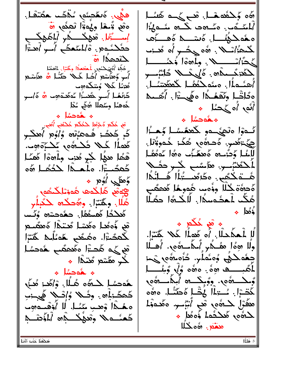فنه مَكْمَ سُكْمًا مُحَسَّفًا. وقع وَّمْقًا وِجْوَا تَعَدُّى وَّهَ حَفَكْتُوم. وْالْمُتَعَكِّ أُسِرِ أَهْتَرَا Lical o أُسِ وَهٰٰٓئِمَهِ أَحُلَّ كَمِلاً كُنَّا ۚ هُ هَٰٓئِمَـٰهِ ەدىما كىلا ۇىتىگەرەپ كَتْتُغْـا أُسـو هَتُعْسَٰرًا غَـمَّحْـتَـمِّتِ ۞ ۞ ۞ اُسـو خُوصُا ومُكْمَلَا هُ يُحَلَّى مُكْلَ \* Lisan \* م<br>ما حُكْم مُمْ مُلا الْمَكْم حُلْفَ أُهي. كَرِ كَحْصًا هُـ20بُرْتُه وُاوُمْ أَهْكَبِ هُداً يَكُلُّ شُكْرُهِ كُكِّرَة وِب. قَمَا مَنْهَا جُيرٍ مُنْتِ وِلِمَوْمَا مُعَسَّل كُهِدُتْوا. ولمعاها للحُدُها وهُو  $\frac{1}{2}$   $\frac{1}{2}$   $\frac{1}{2}$   $\frac{1}{2}$   $\frac{1}{2}$   $\frac{1}{2}$   $\frac{1}{2}$   $\frac{1}{2}$   $\frac{1}{2}$ وصَدَّمَ هَالحُمْعَ هُوزَالحَمُّهِ كُلًّا. وكُترًا. وهُحكُده لِحُدِّلُهِ كَعِنْدْهُمْ كَمْسَعْمُلْ. حَجَّەجشە وْنُس هْمْ وُهِمُعَا هَمُشَا مُحْتَمَّا هُمْمَتْمَرَ كْهَشْتْلْ. ەھْىئْىي خْمَالْكُمْ كْتْتْرَا أَشْمَعْ مِنْقَصَةُ وَلَا مِنْ مِنْ مِنْ ك مكَّشَم مُتَنَّمًا \* \* Lock \* هُوصُل لحدةُه هُـلًا. وْٱهْدْ هُـلَّى كَعْكَبْلُهِ. وِثْمَلا وُإِثْمِلا كَبِيبَ ەھْكَا ۋەيب مَنْتَا. لَا أَوْقْسُومِت كَعِنْــهِ لَا وَتَعَوَّلُكُــدِّهِ ٱلْمُؤْتَنَــدِ مَحْدُمُا حَنْ الْأَامَانِ

هُه وَحَقَّقَهُ أَ. قب حَ صَفَّاء أَلْمَصَــُه مِ مَـــــه ص مَــــهِ مِنْـــهِ مِنْ ەھەللۇئىسل ، ەسسىلم ەھسىزم كَمْعَنْزُاتْمْلًا . 60 كَمِيحُسِنْ أَ٥ كُلْسَنِفْ بِكَعْبَكَتِ مُكْتَرِكَةٌ وَالْكَمَسِينَ مِنْ الْمَنْتَ وَالْمَنْتِينَ أهنَّــملَال منْمحكُمُّــا كَعفَّتنْــا. هِ مُلْتُسْلِ وِنَفْعُـدًا هِ هَيْ-أَلْ: أَهُــدِّهِ أَلَّهُ لَمْصَرٍّ مِنْ أَلْمَسْنَةً مِ هُدَهَهُ مِنْ تُوَا وَتَعِيَّدُوا كَعَمَّسُا وَهُمَّا چَيْ:هُمْسٍ. هُدَوْهِ هُكُمْ خُدْوِقُوْلِ. اللَّهُمَا وَحَزَىهِ وَهِمْنُو وَهَا غَوْهُمْ لَمَكْتَبْسِرٍ. مَلَمَسٌبِ كَيْسٍ حَشَيْلا هُــتَمْكُمُّهِ . هَكَامُهَـــتُّذُا كَـــأَنُّهُ ا ەُدِيُّەڭلا ووْەس ھُەوھْل مُدھَىپ هُنَّكُ لَمْحُمْسِكَا. لَاحْدُهُا حَمْلَا ڏگجا په \* تُع مُكَّمِ لَلِ لمُعكَّدِلَا. أَو مَّعهُ الْكَلا كَتَتِرَا. وِلَا هِوَٰۤا هُـُـٰمُو ٱِـٰٰٓهُـٰۖ هُوَىٰۥ ٱفْـِلَا بَعْدَهُ وَهُمُعَامٍ. خُزُّه مِهْمَمْ يَهْدُ وُكِسْتُوْمٍ. وِوُكِسْتِهِ أَبْكُسْتُوْمٍ كَقّْرًا. مُــتذَاْلُ هُقْباً هُجَنّْنُـا. وَهُو هَفَوْلِ لِحَدِّهُمِ هُجِ أَنْبُرِ وَهُدَوْمُ لِمَدَّهُ مَلَّكُما وُءْمَا \* مغقص وهُ مكلًا ا هَا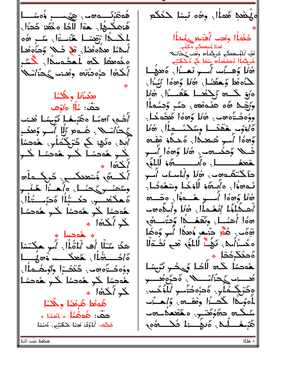وَلَحْقَدِهِ هُدَاً. وَهُو تُبِشَا لِمَحْكُم كَزِهِكُنَّهَا. هَـهَا لَاجُا مِخْفَذٍ كَحَزًا. الْمَعْدِلُمْ وَهُدَب أَكْتَرِهِ وَالْمَعْلَمِينَ وَالْمَحْدَثَةِ وَالْمَحْدَثَةِ مِنْ لِمَكْمَا تَقِسْمِ هُنْسَتْزَا. مَيْسِ وَهُو أَسْمَاءُ مَدَّەمُدًا. ۚ ثُمَّ ثَـَـٰلا ۖ وَجَزَٰهِ مُسَارِ سے سے سے ہاتے ہیں۔<br>کُٹَ اُماؤستندلک کُریگُدانہ وَٹُننٹ کُٹُائنڈ<br>کُریگُداا کُحکُنمانہ مِنَٹھا کُل کُلگتی وِجُوهِمَا كَمَّ أَحْشُوسِهَا. كُنْشَرِ هُمُا وَهِـنَمْسَ أَمِــوٍ تَعَــُزَا. هُمْهَــا أَحْدُّهُ | دَءُدَتُه وَهُنَّ ﴾ دَّاسًا لِّكُوْهُوا وَحَقَّصًا. وَهُما وَوَوَّهُ رَّبُّوا. هُوْ كَـــهِ رَجِّكُعَـــا هَقَعَـــزًا. هُلَا هدُنُرُل ويلْكُمُل وَرَّجْها هُو هِنُوهُده . حَسَّرٍ وَحِنُوماً حقَّ: مُلْل هُوْهَا ووُهڪُنُوهب. هُلُّا وُههُا هُيڤُهكُما. أَشَمِ ٱ۞سُلْ هَكَبُنُهُمْ لَيُّهْشَا هُنَّ كَاوْبُو هَقْفُ لِمِمْكُمُ مِالٍ هُمُلْ كَهِجَمْاتْـــلا . هُـــمرم رَّلِل إنْســو وَهدُم وُهوهُمْ أُسِيرٍ شَعْبِكُمْلٍ. هُجِكُوْ هِمْيُهِ أَبِهِ. وَكَنْ لَمْ كُتْرِكْتُمْلُو. هُوَصْمُا ئَـــلا وُحكْــــەمن. ھُلا وُھەُا إِنَــِــر یکلو حُوجسًا حُلو حُوجسًا حُلو هَعِمُـــــــــــــــــــــــوَّذِ لللَّذِبِ أكثعًا \* دَأَكْتُكُدُهِ .. وَقُلْ وَأَلْمَسْآَبَ أُسِير أىك ئى فىتصلكى. كى گە لُــه%أ. ه/َلِــهُوۡ لَاوۡكُـا وِسۡعُهُدَـا ِ. ومَنْهُمْسُورِيْحِمْسَا. وَإِنَّعَاشَةِ الْخَمْلِسِ هُمُا ِوَهِهُمْ أُسِي هُــوُوْلِ وِصْــهِ ەْھكەُـــــــــو. ھگـــــــزّْكُما ەْھرَّــــــــزُّكُما. أَهِكُلُوْلُمْ إِنْعُشَالَ. هُمُلْ وِأَسْلَاهِ وَسَ هُوصُا كُر هُوصُا كُـر هُوصُـا هِهُمْ أَهْسُلَ. وِنَّعْصُدًا وَجِنَّتَ هُمْ گر اُگھُا ﴾ تَوَهَّبَ. هُكُّرٌ جَبْعٍ وُهِكَا أَسِ وُهِهَا مأوصيا هكز متنلًا إِنِّ ٱلْمَذَّلَّا. أَس هِكْتَسْا هِ كُنُواْكُمْ. تُكُنُّ لَلْلُغُ، ثَبَ نُشْتَالُلُ وِوْدِكْتُرْدْرُدْ مِنْكُتْرَا وَٱوْمِثْكُمْاً. حُدمِمُا ۖ كُر حُدمَمُا ۖ كُـرٍ حُدمَـٰا ۖ ەكرېگىملار. ەدرەكتىپ للۇگىب. كُمْ أَحْدُهُ أَ \* لمَوْجَدًا كُحِسًا وَهْتَدِهِ ﴾ [مسَّن كَمعُدا كَبِعُمُا وِلَكْمُا سُكْسِهِ مِتَمَاءُ مَثْنَــِينِ. مَكْتَفِعْكَمـــــهف حقّ: هُمْهُمُمْ \* امُسْنَا \* كَبْرُهُـــامِدْ. كَانْ زَاءْ شَكَـــْدُهِ، هُكُم: )ْلَوْكَرْ مُرْمُل كَمُّتَبْعٍ. هُسُمُل مَحْدُمُا حَيْدِ ٱلْأَمَا فَالمُا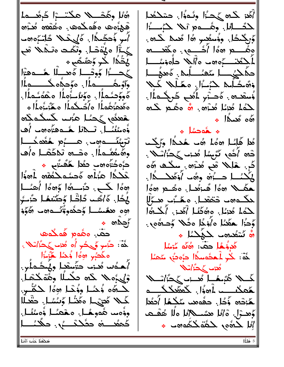هُلا وِهُصْـــلا مكْــْـــْ إِ كَرْهُــــهِ ا قبيرة معكوها ومعتقده محتوه أُمِرٍ وُحَكِّمَةًا. ۞ لِكُمْ كَامَ كَاسَرُهِ هَدَ كَمِنَّا مِهْتَمَا. وَتَمُّد مَنَّمَلاً مَّد َ لَمَثْکَا ۖ خُرِ وُهَنَّمُو \* كحك أرود المحامل الأحكى وَٱوۡبِمُسۡـِـمالَ وَوُحِدُه كُــــماَ ەُووَّحْشُمْلًا . ەۇلاھۇمال مەشەھل ەكدېزىقمال ە/كىگمال مڭزْمۇمال؛ متكمكسة مأنه لنمرض ومثعقه ؤْهِمْنُنْكُمْلْ. تَسْلاَنْلْ هُــوْغَوْرُوهِ بِ أَف وهُ هُشُـه/اً. ه تَـــه تَمْكُمْــا ه/ُف جزُهجُنُوهِ حَمَدًا جَفَّجُنُوا ﴾ تَكَذُا هُنَاه هُجَسَّمَكَعُفُوه لِمُودُّ هِهُمْ کُبِ. حَنْمِسْهُمْ وَهِهُمْ أَهْمُسْمَ لَجِحًا. ۚ هُ/هُــد كَاخْـا وُحَتّْنَعُـا حَزْنَـوْ رەە ھگىسُــا ۇھگەوۋگـــەھەب %ۇۋ  $\bullet$   $\bullet$ حقّ وهُوم كُولمُه هُمَّ: هَنَّمو مَي هُم أَه هُن كِحَنَّاتِما . ومكتبر ووه أوحمل هيُّ أر الَعَــُابُ هُــٰٓوَبِ حَتَّمِيْهِمْ وِلَىٰحُــٰمَلَٰہِ . وْلِيرُه لا كُلُّه عَكْسُلًا وِقْقَكْتْمَاً. لمستَمَع وُحيُمًا ووُحْمًا هِوَا لِمَحْشُوبِ كَمِلا هُتِيْهَا هِ هَنْنَا وُسُسًا. حَقْدَلَا وؤْەمە ھُەوھُـا. ەھْھىُـا ۋْەم*ىُل*ـا. كَمفُسِــ ۞ حثَمْـدْبُ . حذَّـُـُـــا مَحْفُلُ حَبْء أَآتَا

أَهُدْ كُلُّهِ ﴾حدُّا وِنُووًّا. حمْكَعُدا لحَقَّــاللَّهِ. وهُـــوم أملا كَنْـــأَلَّ وُرِكْبِكُلْ. وِذُسِعُيبِ 10 هُدِي كُلُّهِ. لمكتف خ دهب ه ألملا حادو المسلم حكمحكي المتحسل أمكن وتحمين المستر فَقْعَطْهِ حَبْسَةًا وَهَالِهِ كَمِلا وُسكَن، ەُھىزْم لاُھُم كَرِيْكُمالْ. لَّكُما مُنْزَلَ مُنْزَرِهِ . ﴿ وَهُم عَلَمَ لَكُلُوهِ  $\cdot$   $\sim$   $\sim$   $\sim$ \* Lisai \* مُعا كَاِسًا هِمًا هُـ هُـدَاْ وَرَجَّــد دْهِ أَهُمِ تَوْمِمُا هُدْمٍ كَجَزَٰاتِكَ . كَرِ. هَلِمَا تَبْ مُحْزَرِهِ بِمِكْتِ وَهُ يُكْسُلُ حِيَّةُ وَهُبَ أَوْهُكُمْ أَلِّ هكَمْلَا «هُ) قَيْرُهْمَانِ وَهُمْ «هُ) للكمحام وتفقيل مكنُ محكِّل لِّكُما هُزْمًا. وَهُكِّمًا أَهْدَى أَحْدَثُهَ وَدَٰٓا هَقَيْبًا ه∫َوۡكُمْ هَفَكُم وَحِدِهُهِ . أَنَّ تَسْعُدِهِ لِلْكَلِّكْمَاءِ كَرْدُهُا حَقَّ: هُ هُ كَنْهُا َ هُٰٓ: كُلُّو أَلْعَثُمِنَدُا دَزَّەتُو مُنْعَمُّا گعزب کے جُڑائیلا كَمِلًا هُبْهُمِ أَهْدِنٍ ﴾ هُنَّ اسْمَلَ كَمِكْتُ وَالْمَوْلَى كَمَعَكْكُمْ وَ هَزْدُه وُّحُل. حقْمِعد مَكْـهُلْ أَحِمُّلْ وُهـْرَلْ. وْٱللَّا هِمُسَــــــاللَّا هَا هُـفْـــم أُمْلَ لِحَدُّهِ وَهُ مَسْتَخْتَصُدِهُ \* 5 فَالْمُ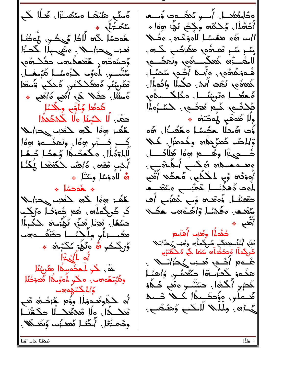ودُلمِعْعُدا. أُسْبِ كَعْصُدِت وُسْعَه ەُسَٰٓبِ هِتَتَمَّـا مِمَّعُتْزَا. هَٰدَلَا كُــ اُحُدَّمَا!. وَحَكَّمُه وَجُحُمْ نُهَٰذٍ وَهُ ا \* Irist هُوَدَمَا كُلُّهُ الْأَمَالُ فَيَحْسِنُ لَهُوَدَمَا الْمُحَفَّ أامه 60 محمَّسُا للهوَلَده . دئَــلا یِمَٰ کے تَعَلَّیُوں مِکْمَوْکُب کُلُهِ. أنحكم المسرعةه بالمسانص سنه للمُسْتَرْهِ كَعِكْسِيهُمِ وِتَعِدُسِهِ وُحِشَەتْهِ ۚ ۗ ۿَتَعْمَلُنه = حَثَكَ وَهُم فَءفكُموهُ واللَّهِ الْأَشْمِ الْمُعْبَالِ. مَتَنْسِبٍ. لمُوَوْم حدَّومسُا هُبُعُصاً. لَحْمَدِهُومِ لَحْمَدِ الْمَاءِ. حَكْمُلًا وَاَحْمِلًا . تْظَرِيبُنُو دُمكَـلْـكْنُو. دُمكَــعِ قُسْمَا ەْھەكسا ەترىئىسىل. ەڭلىڭسىدەپ ەَسْلُلْ. دَشَلا شَى اُھُىي وَاُھُىي ﴾ هُوهُمْ وَلَهْمٍ وِهَمْنَا ِ فَكِحْسَى ۚ كَبِعِ مُرْضَى ۚ. كَمَنْ زُهَ الْمَ حقّ لَا حَبْسًا ولَا حَكَّمْ كَلَّا • مَتَّدَمِ بِدَمَّة \* كامانص سنكف هك اهْج نفْق أَوْتِ رَهُمْتِلًا هَشَسْلَ مَكْثَمَنُوْلَ. رَهُه وْالْمَصَّدْ خَعْدُبْدُهُ وِخُوهْدًا لِمَحْلَمَ كُــــزِ كُــــْتَى هِ2َا. وِتَعَفَّـــوز هِ2َا لْلِدَّەْلَمْلِ. دېڭمگىدا ۋىمكىل گىمْل أَحْبِ مْقْتَ. هُ/فَفَ كَكْتَعْتَقَا لَمِكْنَا وهـــمسلم وهُ يَكْب أَحكْمَةً بِ إُوْدُه فِي الْمُكْلِمِ. هُمَكُلا أَشْي ۋە ل**اە**ۋم*ىلا دېمتىل پ* لمأهب هُ فِي الْمَسْرِ مِنْتَفَسِينَ مِنْ الْمُسْتَفَسِينَ \* **المُتَّاتِيلِ** كانانص سنكف هك أهْجا نعفْف حَقْمَتُمْلَ. وُه قده وَبِ خَيْفَنِي أَف كَرِ كَرِبْكُه أَهْ . هُمْ خُودُكُمْ وَرُبُّكِب مَنْقَدِمٍ. هَكُمْنُمْ وْأَهْدَهُ هُدَ هَدَ أَثَّفِ : حمَّهُا. مُنظَر مُنَّى تَجَنَّدهَ حَكَياً حُثُماُ وهُن، أُهْبَم مُنَّى اْلمُفْسِنْدْكُم كَرِيْكُمْاْنَ وَمُّتَبَ كَيْمَاْسْلَا<br>كَرِيْكُمْاْ وَحِكْثُمْاْنَ سَّعُل كَي هَكْتَبْنِي وُوَكِّمْكُو ۞ وَلَكُنْ كُلَّةَ مِنْهُ ﴾ هُــوم اُهْــو مُن هُــوَــدُ الصــول . هَةٍ. كُمْ أَحَضَّصِكُمُ هَدِّمُنُكُمْ هذُهو كُتَبْسُوْا حَمَّضٌكِ واهْبا<br>كُتْبُر الْكُثَّا. حَمَّشُـرِ هُف كُلُو وَهَّبْتُمُوهَ . وَكُرِ لَمُوَسَّلًا مُّوْجُلًا والمكتني هاما هُدهلُرٍ. وَذُهَكَيْبَدُا كُلُّهُ صَنْدًا ِهُ كَيْݣُوشُوهَلَا وَوُمْ هَذِكْتُو شَي كِمْآهِ . وِلْمُلْمَا لَلْمَحْبِ وَهَنُمُبِ . تَعطَـــكُمْلَ. وَلَا تَعِطْعُطَـــلَا حَكَــَغُنْــا ودْهــُ;ْلَل: أَمَكُـلْ هُعبَنَ مَ وَبِعُبِــُلالا :

<mark>َهَدَهُنَا جَرَّء آآآئا</mark>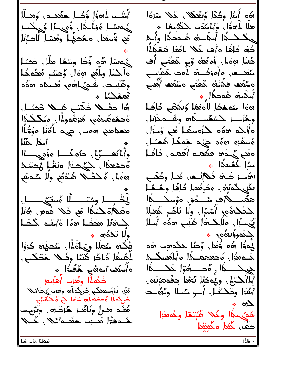أَنْتُبِ لَمُعَوُّلٍ وَّكُلْ حَقَّقَدِهِ . وَهَلْلا لسكره المرهفى المهاءة لمستهر هْمِ وَمُسْعَلَ. مَكْحَجُما وِمُعْسَا لِلْحَبُّلَا يُدعدُ اللَّهَ أَخُطْ وِمَّعْهُ هِمَّا لَمْعَصِّرُ ەالْكْتَا وْلَمُعْ ھِوْا. وْحَسَّرْ هُڅُەكْلَ وهُنْمَدْ. شَمْكُلْ«ثُمْ» تُعْمِلُه «هُ» تعمكا \* هُا حثَـــلا حُمْتــح هُـــلا حْصُــاٍ. ەْھەھەھُەر كَتْݣُوبِهَا. مَكْكَكُمْ معمل من المُتَمَامِ الْمُتَمَامِعَةَ الْمُتَمَامِعَةَ الْمَسْتَمَامَةِ ٱحُلْ حُ*تُل*ْا وألمته على دأهكما هؤي أ مَحتفظاً. حَيْدَ أَسْمَرْكُمْ . الْمُعتَمَدَة 5%. هُكْتُمْ هُـقَعُعْ وِلَا سُـعِعُو بْشْبِهِ وِمُّتْبِ لْلا هُمِنَّتْهِ \_\_\_ لِ ەھُلاَةْكْتُكَذَا هُمْ شُلا قْمُعْ. شَالْ لَّــدُّمُلُّا مَحَّحُــاً مَاهُا هُ/مَّــه لَّكُــُــا  $\bullet$  or  $\delta$ N  $\mathsf{N}$ , هِ كُلُوهِ سَمْعاً وَ لِمَأْماً . سَحِيْرَه خَرْدُا لَمُمْعَلَمِ كَاحًا كَتَمْلُ وضُلا ۖ هَدَكُبٍ . ە/مەئىد ئىمەشى ھَقْدُار \* كُثْمَلَٰا وقُدْب أَكْنُبِع مَّتًى أَمْؤُسِعِدِكُم كَرِيْكُمْلُرُّ وَمُّتَبَ كَيْتُمُ ٱلْكُلُّةِ ۖ<br>كَرِيْكُمْلَ هُدَيْدُهُا مَّتَعُلُّ كُلِّ هُكْفَتَّتِي كُفُّتْ هَــْرَلْ وِنُلَكَّــْ; ـهُوْتْــْـرَه . وِنُتَّوَـبِــس هُــوتْزَا مُحــزب هِقُحــو/ثـلا . كَـــلا مَحْفُلُا حَنَّ<mark>ء أَنْ</mark>تَا

كَهُمْ أَمُلًا وِحُدًا وَبَعْدَلِلا . كَمِلا مْدَهُ! هلا لمعوَّل. وْالْمَعْمَد ݣُحْمَرْهُا \* حكأو المصصدة فسلكنا المسكسكر َدُهَ دُاهُا ه/ُف لَملا لمُعْلا هُمْلَا كَتِبًا هِهُا. ِوُهِ هُذَا وَبِي حَمْنَا إِلَى مَكْتَفْسِفْ وَأَوْقُسْتُ لِمُوَفَّسْتِيْشِيْشِيْشِيْشِيْشِيْشِيْشْتِيْشْتَيْشْتْ ولمكتم فكائله لمكتب ولمتحم المب أاسلمغه هُدهكال هوُا مُوَهُطُ لِأُوهُمُا وُبِكُوْمٍ كَافُط وهَّزْمٍ : ﴿ مَسْلَمْهُ مِنْ الْمَسْلَمَانَ وَهُــوَ مَنْزَلًا }. وْأَلَمْكُمْ مِوَّە لِكُوْمِيْھَا تَعِي وَِّسُرًا. ەُسەبە باشقا ھۆك ەەھەبىھىدە \* Kuší Ju اشَمْــز حُــف شَكْلِّلُــْ مَــْ وَحُمْـحِ بِكُنِيكُوبُو . وَكَرْمُوهُمْ كَافَا وِجُمِعْهِ هقمسلافٍ شَـــدُوْ. هوْمِعْـــــــــــاً كَثّْكَمُورٍ أَسُبُلٍ. وَلَا تُأْكُرِ كَعِيلًا لَّكَ وَهُمْ حَدَّةُ اهْتَكُمْ الْمَسْتَرَبَّعَ الْمَسْتَرَجَّةِ  $\rightarrow$   $\sim$   $\sim$   $\sim$   $\sim$ لْمَوْا هُو وُهُلْ. وُحِبًا حَكُمْهِب هُو مُـــودُا. هُ حَعْمِعـــدَا وَٱلْمَعْسَـــد حَكِيْفَ الْمَرْبِينَ وَدَعَةَ وَالْمُحْسَنَةُ ا المُلْكِرَةِ. وِلِمَحْمُلُ نُزْهَدِ حِفْمِهِرْتُم . أَهْزًا وِتَكْمُدًا. أُسو مَيْسَلًا وِمُرَّدَسِ oL هُمَيْهِا وَلَمَلا هَبْتُهَا وِخُوهُا حقب كمُعل مكعِنْعِدا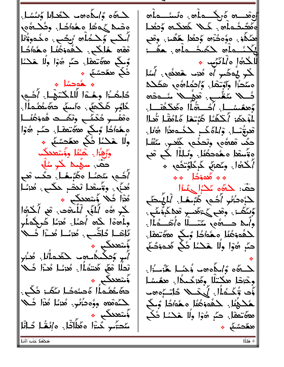لِمَدَةُهِ وُمُلِمُهِ مِنْ الْمُعَالَا وُسُسًا. وەتمىدە كى كىلەر. مەئىسىملە ، هُدُمْـدُاه . كَــدْ كَعنْــْـهِ وَحَعْـا وصَّمْ كَمْعَا مِعْمَاصًا. وِئُكْسُو أَمْكَى وَكَــدُاْھ رُيحُــى. ەخْـەوۋْلا مِنْكُو: وَوُوكُنْ وَكَعْدَا كَلَّصُوْ: وَهُم الْمَكْلُوا وْلْمُكْتَوْب وُكُمْ مِدْهَتِمِمْلَ. حَيْرٍ هُوْا وِلَا حَكْمُا لَّكُمْ لِمُحَكِّسٍ أَهْ هُذَا حَقَقَتُهِ. أَمَّا ئُكِ هُهُدَسَّفٍ ﴾ \* المُصَمَّات مَمْحَزًا وَآوَتْقَا. وَاحِفَاهُمْ هَكَكُمْ حٌلِمُـٰٓۥٗا وِهُـٰٓهَا لَٰلِلگتهُـل أَحْمِهِ ئَـــلا مُنْقَسِعٍ. ثَعِفْرِ لَا مُنْـــوْتُه لَّٰكَاوُمٍ كَلَّكْتَكَ: «أَسْلَعَ حَيَّامَتُعَمَّلَاً. وَهِمُسُلِ أَكُّ قُلًا وَهُدَّكُ لِ ەھ*ُل*ىر كُنْسًى وِنْھَىــد فْەزْھُلْــا، لْمْحَمَّرْ ٱخْكَمَّا كَبَّتْهَا كَلْمُثَّا ثُحَالَ ەم ئەركى ئاھتى ئاستى ئارابا قىلىن ئ هْدِقُ ْـلْ. وْالْمُكْسِ حْشُـوهُ أَ هُلْلْ. واُل هَـدْـُل فَكَّى محَمَّصَنَىٰ ﴾ حكَّد مْعَلْهُم، وتَحدَّم، كَيْحَبّْ. مَثْلُتُمْ وَرَّهَ السَّنَّا وَمُشْعَلَكَ وَوَّسْعًا مَعْدَدُمُلْ. وِتَبَلَّلَهُ كُلِّ ثَبِي حقّ سهّده لگر مُله أَلْحُدُّا. وِكُمْنٌ كَرِكَاوُتْتُمْ \* أُهُـه مَعْمُـا هفَّبُـمُـا. هَـُـه ثم \* \* کُدوکا \* \* هُنَّى . وتُسعْدا نْعْصْر حْكْبى . هُزْسًا حقَّة: حَدَّة عَلَمَ الْمَعْرِ الْمَكْرَ الْمَصْرَةِ مِنْ مَنْ مَنْ مَنْ مَنْ لِدَّوْمَنُو أَخْمِي كُبُرْهُا. أَلمُ يُحَبُّ مُنْزَا ثَلا بُسْعدَكِ \* كُبِرِ هُو أَمْلَقَى أَمْلَمْهُد. هَي أَكْثِهَا وَبِنَكْ: وَتَبْ يُ:تَعْسِرِ تَعِدْكُرُوْمَكِ. وِلْمَاهَا لِكُمْ أَهْلَا. هُزْمًا ضَرِبْكُمْلُو وامط حسقُوب متنسلا ه/نفسهُماً!. تَاهَــا كَاتَـــى. مُننُــا مُــنْا كَــلاً لْحَقُّودُهُمُلْ مِحْدَاكُمْ وَمِكْمٍ مَعَمَّتَهُمْلُ. ۈشتىنگىي .<br>أىپر ۈنىگىگىچى لەڭنەل<sup>ا</sup>ئل ئىنُبر حَبٍّ هُوٓا وال هَكْمًا ثُكَّى هُدهْكُمَّ تَطَلَا مْمَّ مُحْتَمَٰلًا. مُدَىْـا مُدْرَا شَــلا لِمَسْتَمَعَ وُلِمِكُوهِ وُلِمُدَا هُنُسَالَ وتتعدكم و وحْتِحْلُ هَكِّتْلَلْ وِهُدَيْحَكُلْ. هِمُسْلَم دەَ مُعْلَماْ اوْحِسُوطْ لِكُمْ: فَكُبِ. وَّد وُّكَــُمُلَمَّا. ) كَـــلا كَاتَـــرَه هَٰٓدَهُمَٰٓا. حَدُّدَوَمُنَا مِمْدَاحًا وَجِحَ لْمُتَوْتُدُو وَوُدْدُتُو. هُٰزئا هُزَا ضًا َوۡٮۡتَعۡدِكُبِ ۚ<br>مَّحَتُوبِ خَبَّا ءَمَّلَاٰتَّا. ۚ وَاِنۡقُـٰا خَـٰالۡنَا مَعَوَّنَهُمْلِ. حَيْرٍ وُوْا وِلَا هَكْمًا فَكَبِ همَّحسَّبٌ \*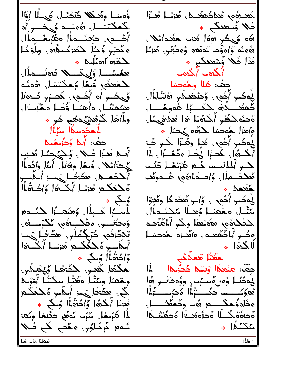ذْهِمْهِ وَهُدْلًا كُنْكُسْهِ. يُحِمِّلُهُ إِذْا كْمْكْتْشْمَا. شَەئْپ كَرْكْسْبْرْهُ الْفَـــــم، حَرْحنْــــملأ مكْبُـــڤـــمِلأل. ەڭكېر ۇخبا ككىزگىماھ. ولمۇڭا للكتم أمثلك \* ﻼﻫَﻌﺪُﻪ , ﻣُﻨﻤَّﺎ ﻭُﻤﮕﺘﺸـﺎ. ﮬُﻪﺷﻪ كَيْݣُــو أَمْ إِكْسُمِي. ݣُحــزُو كُـــْمَالْمْ هِيَمُعِنُكَ. ه/ُعِنُكَ ذُكُلَ هُكُنُواْ. ولمألقا كمرتعطي مكوبه 14 Indén حقّ: أَبِهِ وَجَنْبَهُمِهِ أَبِيا هُنْزَا شَيْلاً. وَجَهْرَهُمَا هُنَبِ كَحِنَّهُكُمْ . وُّمطُ وهُمُلْ. أَمْلًا واهْمَالُه أَحْدَمِــم، مكَنْرِ لِيَحِبَ لَمِنْ مِنْ مِنْ الْمَنْ هُكْكُم مُنْكُلُ أَكْلُوا وَاصُنَّهُا أَ  $\bullet$   $\sum_{i=1}^{n}$ لَمسَرًا كَبِيلًا. وُهمَّعاً الْكَسُّومِ وُەدُوُلسىر. ەڭلىيىۋە كۆتوسىۋ ِلْمَكْنَثُمِ ۖ كَتَرَبَّكُمُلُو ۚ مِكْنَثِيلٍ ۖ وَسَمَّائِكُمْ وَسَمَّاءَ أمكسير هُكْنُكُمْ هُوْسًا أَكْسُرُهُ ا وَاحْتَمَاْ أَوْلَى \* هَكْفُلَ كُفُسٍ. حَكَّرْهُا وُلِحْمِكُسٍ. وهْعِمُا ومَثْلًا هَ هُنُا سِكْنُّا أُوْوُحُا كُمْ . هِكْنُكُمْ يُسِمْ إِيكُمْسِ هَكْنُكُمْ . هُذِمًا أَحْدُهُ الْإِرْشَفَاْ وَحَدٍ \* ءًا كَبُنْهَا. نَبْنُ نَوْمُ حَقْنُهَا وَنَعْهَ ئَـٰہِم کَبِنُـٰاوُہِ. ہکھٓے گے ثَـٰلا 

كَعِدِوْهِ وَحَدَدْهُدِمْ. هُزْسًا هُدْرًا ئُلا مُتَعْلِكُم \* وَهُ عَلَيْهِ مِنْهُ أَوْمِ بِحُرِهُ وَهْ رُّہُ مَنَّهُ کُے اُووْک کُے مَعْدہ وُہِ حُزُنُوں مُحْزَىٰل مُنْزَا شُلا وُسْعِدِكُم \*  $\frac{1}{2}$   $\frac{1}{2}$ حقَّ هُلا وهُوجِسُل لِهِصَّرِ أَهُمِ. وَحْتَحُصُمْرِ وَهُنَّـٰلِمَّاً. كُهمُسِــدُهُ رِحْكُـــزِّهُ هُومِـصُـــهِ. هُحنُه حَفُلُو أَحْدُهُمُ أَهْ أَهْلَاهُمْ . واهدًا هُوصمًا لِمُحَمَّد لِمَحْمًا ﴾ لْهَكُسِ أَثْقَى ِ. هُدٍّ! هَنَّا! كُنْسٍ كَبِرْ أَحْدَّهُ!. كَحَبُرا فَكُما هَكَمَّتُرا. لَمَا كر آلمائك كُم هُبْتَهَا تَنْب كَعْلَــْـمالْ. وُاصْــەُلمەُ مْــوهُت \* David لْمَكْسِرِ أَكْمَى ﴾ وَّاسِرٍ مَّحْدَمُكَ وِهَٰذٍوَا مَثْلُونَ مَعْصُلُ وَهَبَلَا مُكَنَّبِهِ أَلِ لحفُلهُم، معقَّتهما ولحر المكَّنْصه ودُـــرِ ٱلْمُكْعَمَـــهِ . ٥أَهَـــزه حَقَّدمسُــل للكثوا مِعَنْنَا مُعَدِّبَ جِعٓ: منُعدُا وَسَد حُجَّرُ اللَّهُ اللَّهُ لمُحْفُـٰا وُەرِكَسِيَّى ووُّەدْتُى بِهِ ا هْدَوْمٌــــــــــه حَكَــــــزْلَمْ أَهْجَمْــــــــزْلَمْ أَ ەدُاەزُىمگىسى بۇ رېھگۈئىسىل. هْجِدْةَ كُلْمَالُهُ حَزْهِ مُحِبّْزَا هُجِعَتْنَكُمَا يمكنكم ؛ فَالمُا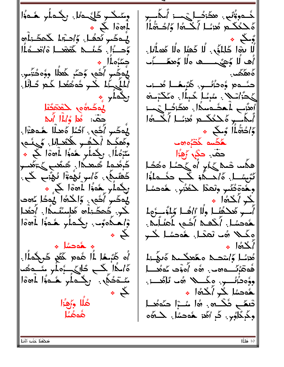وۭڛۢڂڔػڸٞ؎ؙڶٳ؞ڔڲڡڶڔۦۿؘڡۏؙٳ  $\frac{1}{2}$   $\frac{1}{2}$   $\frac{1}{2}$ لمحَمْسِ نُعفًا. وَاصْرَاءُ كُحْمَدْ: أَنْهَ وُحِسَرًا. كَسُبْهِ كَفَفْعَها وْاقْصَادَا جِمْزُه أُلْ \*<br>وَجِمْسٍ أَخُمٍ ۚ وَجِبٌ ۚ كَعِلًا ۚ وَوَه جُنَّسٍ.<br>وَلَا يَرْسَى إِلَيْ مِنْ يَسْ الْمَرْيَبِيْنَ ﴾ لَئَا ا ٱلْمَلَٰٓٓٓٓٓٓٓہٰٓٓٲ ۦ ڂُہ مُعۡمَٰٓد ۖ کَم کَاتَآ ٖ وبكملر په لمُعَصَّفَ مِعْقَدَّمَ حقَّ: هُلْ وُإِلَمْ أَلَى لْمَكْسِ أَثْمَى ِ. أَثْنُا هُمْلًا هُـُمِعْتَا . وصْرِحْ ، الْمَحْكَمُ بِكُمْكُمْ أَمْكِمُهُمْ مَّذِهُمَاً. رَبُّكُمَارِ هُدُوا لِمَحَادِ ﴾ • كَرْهُـمِـلْمُ هُـمِـدَانِ هُـمُعَـبِ كَيْتَهُـبِ كَعْفَيْكِ) . هُ اس ِ لُهُمْ أَلْمُ أَنْ لَجِنَ بِ لَكِي . رِيْحَمَلُو ِهُوَوَٰا لِمَاهَا لَكَجِ \* لَهَ صَبِ اُهُمْ . وَالْحُدُّهُ الْهَمَانِ لِمَحْمَلِ ﯩﯖﻰ. ﻛﻪﻣﮕﻨﻠﻪ ﮬﺎﻣﯩ*ﻨﺌﯩ*ﺪﺍ. /ﻣﻐﺪﺍ وْاْھْلُەوَّى. رېڭملر ھُەۋا لمەۋا  $\bullet$   $\Delta$ \* Lisai \* لُه هُبُعُا لَمَا هُوم هُغَدٍ ضَرِكُواً!. ەُ/مەَ*ّا* كَلى ھُارگ مُوماُر مْسَوْهما مَنْدَكُمْ). رِگْـملر هُـمْرَأ لِمُ3ْ  $\ast$   $\Delta$ هُلًا وَرَّهْ ا هْمَمْلَ

خُدوؤُنُي . مكَنْصُلِيْ حِمْ أَمِكْسِرِ هُكْكُم مُنْكُلُ أَكْتُوا وَاحُدَّقَاً ۇڭ \* رُ ——<br>لِلْا يَوْمِ الْكَلِيِّيِّي. لَا كَعِبُلْ هِلَا مَحْمَلُنَا . أَهَا لَا وُهِيُمِنَ وَلَا وُهِمْنَ أَن ەھكىگىب. حنْــەم وُەدْتُـــو. كَيُمصُّــل هُـــزب كِحْزُاسْكِلْ . مُبْسُلْ كُبِلَالْ. هَكْتْرْسِغْه أهنَّ المَشْمِساً. هدَّرْئِا آسَمَ أَمكُسِيرِ هَكْنُكُمْ هُنْسًا أَكْسُرُهُ ا أَوْاحُثْهَا أَوْلَى \* Loro Lea de حقّ حكّ رُقِّ ا ه<br>هَمَّــ شَمْكِهُمْ أَهْلِكُمْ مُعْصًا وَهُمَا<br>تَّوْمِسُــاً. هَ/َمـــدُوْ لَمَـــ حَشَــهاوُا وِهُوَوُكُسٍ وِتَعَمَّا كَحُزُنٍ. هُوَصُبَا یکر اُلگاہ : أُسِبِ مَحْكَفُهِ أَولًا ﴾اُهُما دَلْمُ يَوْمَ هُوصُل أَحْقه أَشُوب لمَعْلُله. ەكْمْلَا ھُە تْعْقَا. ھُەجسًا كْب المحادثه المعه مُعزَّا وَاسْتِكْمُ مَعْصَلَهُمْ وَلَهُـزَا فْعقْبُنُــــــــــوه . ﴿ وَ أُونُو لَمْ مُعَمَّـــــلَّ وِؤُەدْتُكْسِر. وَكَمَسْكُلا شَمَا تُلْكُسْمَ. هُ حمْل كُر أكْدُه الْمُحْسَنَة وَ تَعَمَّـــ ذَكَّـــــهِ. هُ الْمُسْرَأَ حَدُهُـــأَ وِكَرِكُلُوُرٍ. كَرِ ٱهُذِ هُوصُلٌ. كَـــوَّهِ  $|\mathring{\mathsf{L}}|$ فَا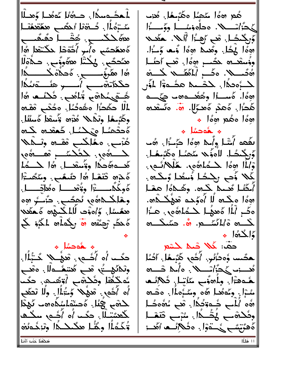الْعَشِّيهِ مِدْأَا . حَــْهُ مُا كَوْهَــا وُهَــال سَّــْزِهُ1|. كُــةْنَا ٱحْكَمـــح مَعَّمَعْمُنَــا مرهَٰ حَكَمَــــــــ و هُشْــــاً حَقَيقَــــــــع<br>هُمحَمَّحسَّــــو إُس الْحَّةقالِ حَكَمَتْهَا وَا هنَّحصٌ . لِكُنَّا هِهُوؤُبِ . حَـكَاهَالَ ِّقُــتَى مُـدْكُتُ . حَكْلُتُ , هَدْسُــعَا لَهُ ا اللَّا حَمَّدُ وَهُوَدُمُّاً. وَحُنَّى هُنَّه وكَبُنْهَا وَتَمْلاً هُزْرَه وَمُنْعَلِ هُنَبْتَا . ەدقىما ەيكىل. كىقىدە گىدە كْنْبٍ. ەھْلگىپ ئىقسە وتىكىلا حــــوهُ ، حـمـُحـُمـَــــمِ تَعــــوهُ ، هُـــهِ هُدهُ المُ وَقُسْعَـــا فِ هَا حَـــهُمْ كَٰذِهِ ثَنَمْاً هُا ئِنُمُّبٍ. مِنْقُنْۃًا هُوكُمْـــــــٰٓ;ا وَوُْهْـــــا هِ مُلاتِـــــا. وهْلِكُـدْهُورٍ نُمِجَّبٍ . حَنْسُوٌ وهِ همُسُل: وُاهوْد لَلْمُكْبِرُهِ هُمَعُلا ەُ حَكَّرِ رَحِسُّه مَّ رِجُّهاه لمَكَّرْف كَب \* هُوص*ال*<br>حَكَـــا أُو أَضَـــوب تَعهُــلا گـــَّتُمُّلْ. وْلْمَانُوْتُ، ثُبَّ مُسْهُــْمَالْ. ەثىب يُمتِّكُفْا وِثَكِرْهُبِ أَوْكُسِهِ. حَكْب أَه أَحُمِي. ثَعَهُمْ ۖ وَخُبَالٍ. وِلَا تَعَقَّبَ لْحَدْهِمِ ۚ ݣَجْدًا. هُحَشِّهْ لِمِنْكُمُوهِ ۖ تَهْتُدَا كَعْمُبْلَا. حَكَّ أَه أَخُـه مكْـ وَّكُمُلًا وِكُفًا هكْنْشَكًا وِتَبْخُدُهُ مَحْفُلُ حَرْء آانُا

هُم «ەُا مُمْعِمُا ەكْبُعْا. مُن بِحَبّْرُتْكُمْ. وحلوفِسُكُمْ وَوُسِيًّا وَرِكْحُمِلٍ. مَعِ رَجِعُ! أَأَلَمْهِ. حَقَصَهُ اجِعًا لَكُلْ وَهُدِمْ جِعًا أُمْسٍ وَسَرًّا. ووُسعْده حَصَّبِ هِ16. هَـــ أَحتُــا ھُگُـــالا. ہگـــ اْلْمُکَـــالا گُـــة كُرُّوْهِ). كَشَـْبِهِ هَشُـُوَزًّا لَمُزْنَ ادهُ أُسْساً المُعْشَدەت ت هُدُرَا. وَهِدْ وَهْدُلاً. مَنْ وَنَسْعَده ေါ်ဇာ နဝိုဝါ်ဇာ \* Lusan \* بَقْعِهِ أَشْا وِأَيْنَ هِهُا جَئِسًٰا. هُب وُرِكْبِحُـا. لاهوَّى مَّعْسًا هِكْبُـِهَـا. وْكَمَا هِهَا كَـْمَاهُو، هَلْلاَتُو، يَكُلُّا ۚ وَحِي ۖ رَحِيحًا ۖ وَسَعُدا وَمِكْتُم ﴾ أَمَثَلَا مُحْمِدٍ كُلُّهِ. وَهُدَوُا هِمْا ههُا مكَّده لَا أُوَوِّهُمْ شَهْكُلُهِ». هَ أَمْلَا هُمِهَا كَـهُاهُمْ. هِـزَا لَّكْتُ قَامَلْكُمْتُ مِنْ مَنْ صَمْلِكُتْ مِنْ  $|\mathcal{S}_1|$ حقّ: كَمَلا صْلا حَسْع ـعصُّسا وُددُتُاب. أَثَمَه كَبُرْهُا. أَثْنَا مُكَسِّنَةٍ كَمِيرًا مِنْ الْمَسْلَمَةِ ﴾ وأسلا في السيم هُدِيْلَ. وِلْمَوْبِ مُنْتِيلٍ ثُمْ نُصْرِ مْبْزَا وِكُوهُمَا هُو وِمْيُوْهَالْ وَصْرَهَ هُه ٱلْمَــبِ شَهْدَهُمَا ۖ. شَبِ مُهُوصُـا وِثَدْهْبٍ يُضَّـٰهَا. مُبْتِ تَنْفَـٰا ەقتتىپ ئىتقۇل. ەئىلائىم اڭد َ 1 هَا اُ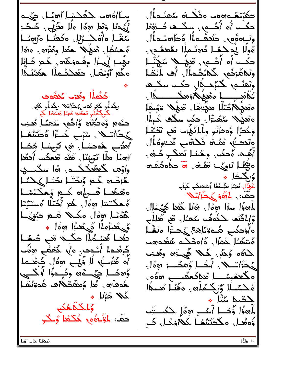سألماه المستشر المستحك والمستحكمة حكَبْتُمُّدِهِهِ دَعَكْتُ مُتَعَشَّدَاً). حكُــــا أَهَ أُشُـــه بِ بِمكْـــف كُـــةٍ ثَلا لَيُّهَ لَا مِنْهَا وَاهْمِ الْمَوْلِيِّ. هَمَكَّ وِيْدِدِهِمْهِمْ. حَنْحَفْسَمْلَ هُجَرَّدَ شَمْلًا. مَنْقَــا ه/ةْــكِـرْبَا. هكْفْــا هَزْدْـا كَعْسُمًا. تَعْمِلاً عَمُدًا وِمُنْزَى. وَهَا هُولًا ﴾ حكمًا دُهنُماً لَهُمْهُمْ. حكَـــا أَه أُهُـــها . مْوَسْــوا سُوَسْــا بَهْسَرْ } إِنَّ وَهُدُوْهُمْ إِنَّ لَهُ مَعْ كَبَالِهِ } وِنَمْكُرْشُو ۚ كُمْنُشُماً ۚ ). أَف لِمَنْشَا هِ كُمْ أَوْتَعْمَلْ. حَقُدْهُما أَصْفَدْ الْمُحَمَّدُ وْتَعْشَمْ كَتَزْبَدْكُمْلْ. حَكْسَا مْكْسِفْ كُنُه∫ًا وهُذب كَحْقُوب كَلْأَهْرِ لِمَ وَهُوَلاً وَهُدَا وَاللَّهِ مِنْ الْمُسْلَمَاتِ ریگماُر کَفَع مُناتَ کے تَااتِکہ ریگماُر کَفَع .<br>کریگناُار تعصُّلہ مُنائلہ منقا کی ەتْعِيْلَاكْتْلَا مِدْيَوْمًا. تْعَيْنَا وَوُمْقِا ەھۈلا سَمُعْتْل دَّب سَكُفْ شَبْدًا حنُّه وُهِ دَٰرْتُه وُاحُمْ مُنْصَا هُدْب وِكُدًا وُودُنُو وِلْمُلَيْنِ مَعِ تَتَبُّلُ كَحْزَاتْكَا . مُبْسِ كَسْتْرَا هُحَتّْتُكُمْ وِلْلحَــُنُ هُفُــةَ فُكْـرَهْبِ هَـٰـٰٓوَهُـلَالِ. اُهْبَـــ هُـُدَسُــاً. ۞ تُرْسُــا هُدُــاً أَقِيمَ هُحكُبْ. وهُمُلُّل نُعكَّـرٍ حُــٰهَ. آه مُل الله تَوْجُدًا. هُمُّه مُعَمِّكُس أَحْمُدا مَ عَمَّا الْمَرْسِيِّ مَعْدَهُ . ﴿ مَدَّدَهُ صَدْمَهُ عَمَّا وُأَوْهَا لَكَعَفَعُكُلُّكُمْ فَيَ اللَّهُ الْمَكْسَنِينَ اكرېڭىغا \* هُوَدُه كُمْ وُبِكُتْمَا بِكُمَا كَحِمًا .<br>-<br>-<br>المُجَمَّلُ المُجَمَّدُ المُجَمَّدُ المُجَمَّدُ المُجَمَّدُ المُجَمَّدُ المُجَمَّدُ المُجَمَّد ەئىئىل قىراھ كىم ۆھڭتشىل حَقّ: ـ اهُوْ حَدَّاسًا ەْھكتشا ھەرا. كەر اُكْتلا ەْسْتْبْتا مَاسَوًّا سَارًا هِهَا. هُمَّا كَعُدا هَيْ الْمَا. كَتْمْسًا هِهْ!. هكْمْ هُـْمْ حَزْفِيُ ۖ وْ}لمَّكْلُم حَدُّدُفُ سِّعْدًا. ثُم كَلْلَم · lóg livé a lloisée ه/وَحَكَبٍ هُـهِ وَمَاهِجٌ ﴾ حــَرْا هِ تَشَـا دعُنا مُتنفُّدًا حكْلًا مَن كَلْمًا كَتْتَهْتُلْ خْعَزَلْ. كَاهْتْكُمْ هُغُدْهِ جُرِهُدها أُسُومٍ ولَ لَمَعْهُم وَةَ لِهُ وَهُمْ. كَمَلا قَبِيءٌ وَهُدْب اَهِ كَثَبَـــُٰدٍ لَا ذَٰلِــ هِهَٰا. كَبِمُّــهَا لِحَذَاتِ لَا ذَكَراً وَهِمَّت وَهُ إِن هَكُعْفَيْسُا مْلاَكْمُفْسَى 300. هُوهِ: وَهُلْ وُمِكْشُمٌ فَ هُورُنُهَا } ەلكىنىلا ۇزگەلمەن ەڭلا ئىىمكا مُ*لا هْزُلْ \** احمْد سَنْا ﴾ والحدمقب أَآهِ وُوَا وُجُسًا أَمَيْ هِوَا كَمَسْتُف حقّ: اقْتُوهُ) مُكْتَعَلَّ وُحْكِر أَوْهُما. مَكْضَّتْتُمَّا يَكْلَافِكَا. كَ مَحْدُمًا حَنْ الْأَامَّا  $|\mathring{\mathsf{L}}|$ فَا